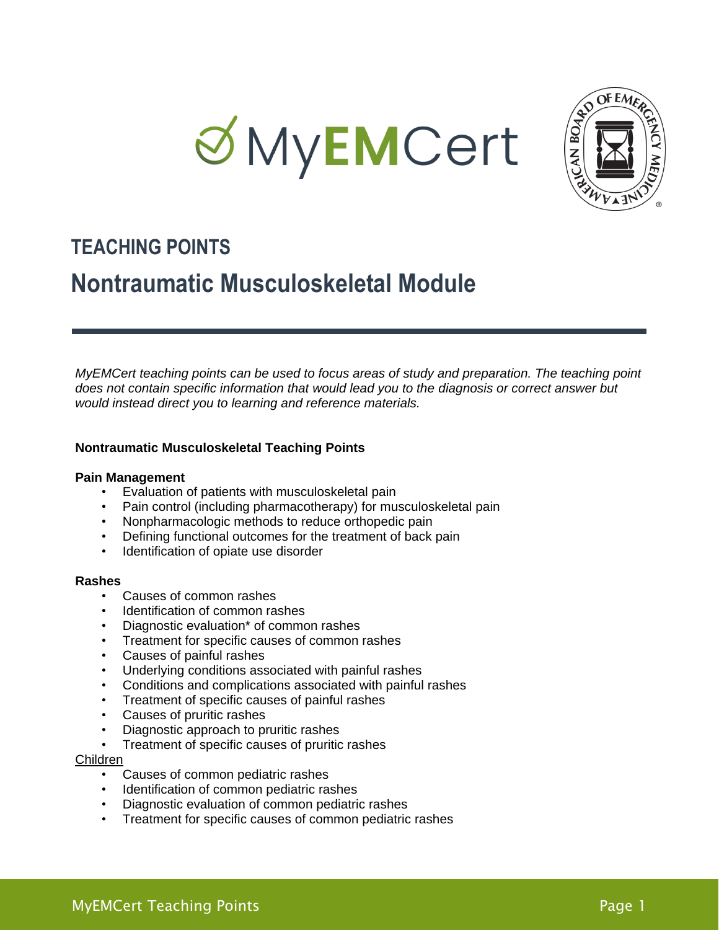



# **TEACHING POINTS**

# **Nontraumatic Musculoskeletal Module**

*MyEMCert teaching points can be used to focus areas of study and preparation. The teaching point does not contain specific information that would lead you to the diagnosis or correct answer but would instead direct you to learning and reference materials.*

# **Nontraumatic Musculoskeletal Teaching Points**

# **Pain Management**

- Evaluation of patients with musculoskeletal pain
- Pain control (including pharmacotherapy) for musculoskeletal pain
- Nonpharmacologic methods to reduce orthopedic pain
- Defining functional outcomes for the treatment of back pain
- Identification of opiate use disorder

# **Rashes**

- Causes of common rashes
- Identification of common rashes
- Diagnostic evaluation\* of common rashes
- Treatment for specific causes of common rashes
- Causes of painful rashes
- Underlying conditions associated with painful rashes
- Conditions and complications associated with painful rashes
- Treatment of specific causes of painful rashes
- Causes of pruritic rashes
- Diagnostic approach to pruritic rashes
- Treatment of specific causes of pruritic rashes

# Children

- Causes of common pediatric rashes
- Identification of common pediatric rashes
- Diagnostic evaluation of common pediatric rashes
- Treatment for specific causes of common pediatric rashes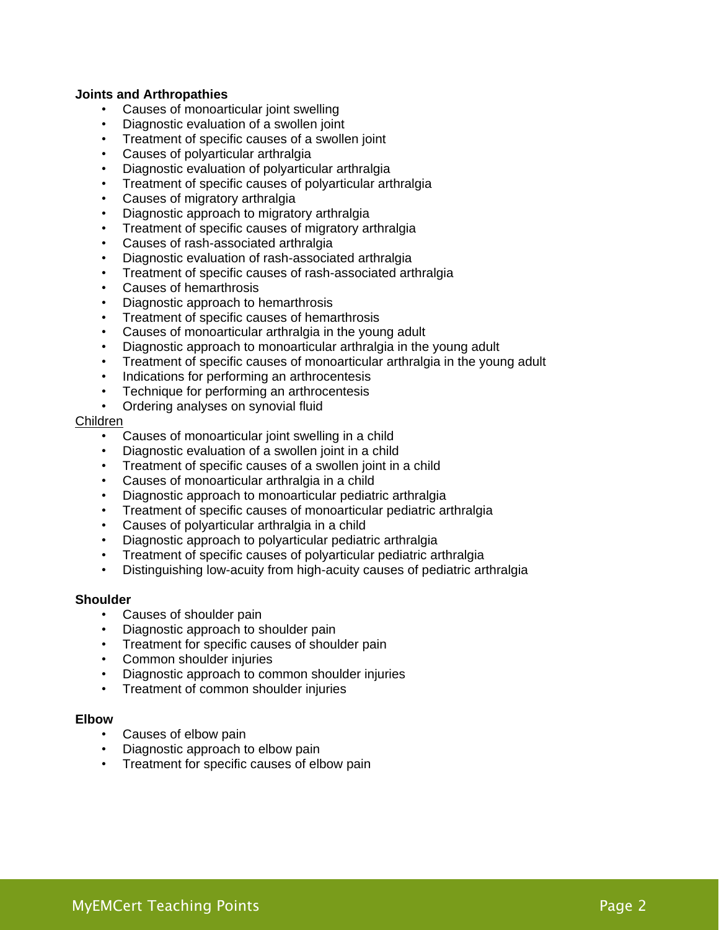# **Joints and Arthropathies**

- Causes of monoarticular joint swelling
- Diagnostic evaluation of a swollen joint
- Treatment of specific causes of a swollen joint
- Causes of polyarticular arthralgia
- Diagnostic evaluation of polyarticular arthralgia
- Treatment of specific causes of polyarticular arthralgia
- Causes of migratory arthralgia
- Diagnostic approach to migratory arthralgia
- Treatment of specific causes of migratory arthralgia
- Causes of rash-associated arthralgia
- Diagnostic evaluation of rash-associated arthralgia
- Treatment of specific causes of rash-associated arthralgia
- Causes of hemarthrosis
- Diagnostic approach to hemarthrosis
- Treatment of specific causes of hemarthrosis
- Causes of monoarticular arthralgia in the young adult
- Diagnostic approach to monoarticular arthralgia in the young adult
- Treatment of specific causes of monoarticular arthralgia in the young adult
- Indications for performing an arthrocentesis
- Technique for performing an arthrocentesis
- Ordering analyses on synovial fluid

# Children

- Causes of monoarticular joint swelling in a child
- Diagnostic evaluation of a swollen joint in a child
- Treatment of specific causes of a swollen joint in a child
- Causes of monoarticular arthralgia in a child
- Diagnostic approach to monoarticular pediatric arthralgia
- Treatment of specific causes of monoarticular pediatric arthralgia
- Causes of polyarticular arthralgia in a child
- Diagnostic approach to polyarticular pediatric arthralgia
- Treatment of specific causes of polyarticular pediatric arthralgia
- Distinguishing low-acuity from high-acuity causes of pediatric arthralgia

# **Shoulder**

- Causes of shoulder pain
- Diagnostic approach to shoulder pain
- Treatment for specific causes of shoulder pain
- Common shoulder injuries
- Diagnostic approach to common shoulder injuries
- Treatment of common shoulder injuries

# **Elbow**

- Causes of elbow pain
- Diagnostic approach to elbow pain
- Treatment for specific causes of elbow pain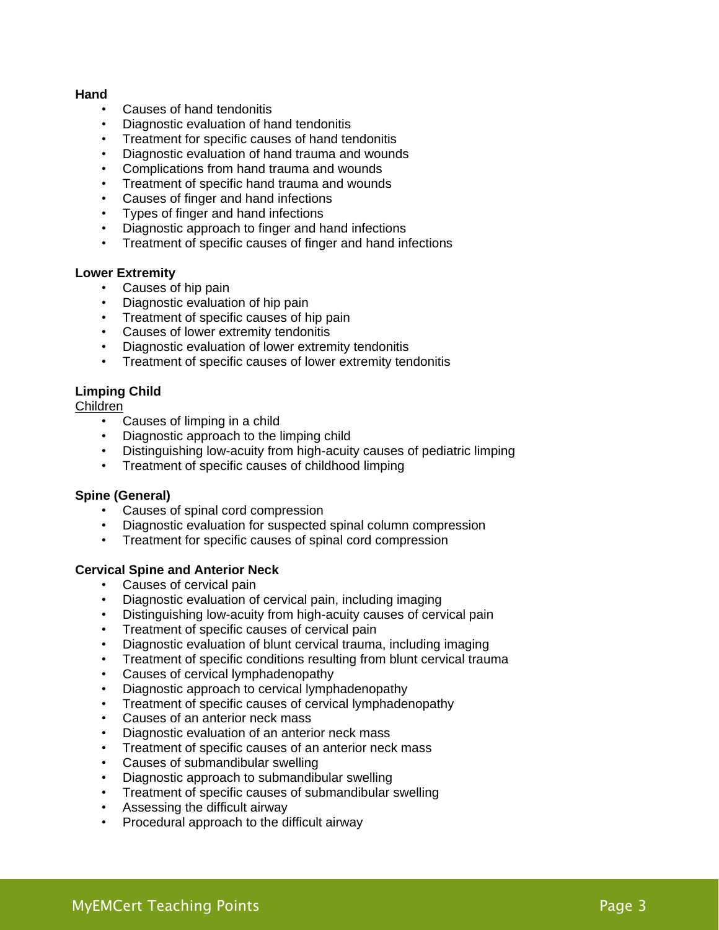# **Hand**

- Causes of hand tendonitis
- Diagnostic evaluation of hand tendonitis
- Treatment for specific causes of hand tendonitis
- Diagnostic evaluation of hand trauma and wounds
- Complications from hand trauma and wounds
- Treatment of specific hand trauma and wounds
- Causes of finger and hand infections
- Types of finger and hand infections
- Diagnostic approach to finger and hand infections
- Treatment of specific causes of finger and hand infections

# **Lower Extremity**

- Causes of hip pain
- Diagnostic evaluation of hip pain
- Treatment of specific causes of hip pain
- Causes of lower extremity tendonitis
- Diagnostic evaluation of lower extremity tendonitis
- Treatment of specific causes of lower extremity tendonitis

# **Limping Child**

# Children

- Causes of limping in a child
- Diagnostic approach to the limping child
- Distinguishing low-acuity from high-acuity causes of pediatric limping
- Treatment of specific causes of childhood limping

# **Spine (General)**

- Causes of spinal cord compression
- Diagnostic evaluation for suspected spinal column compression
- Treatment for specific causes of spinal cord compression

# **Cervical Spine and Anterior Neck**

- Causes of cervical pain
- Diagnostic evaluation of cervical pain, including imaging
- Distinguishing low-acuity from high-acuity causes of cervical pain
- Treatment of specific causes of cervical pain
- Diagnostic evaluation of blunt cervical trauma, including imaging
- Treatment of specific conditions resulting from blunt cervical trauma
- Causes of cervical lymphadenopathy
- Diagnostic approach to cervical lymphadenopathy
- Treatment of specific causes of cervical lymphadenopathy
- Causes of an anterior neck mass
- Diagnostic evaluation of an anterior neck mass
- Treatment of specific causes of an anterior neck mass
- Causes of submandibular swelling
- Diagnostic approach to submandibular swelling
- Treatment of specific causes of submandibular swelling
- Assessing the difficult airway
- Procedural approach to the difficult airway